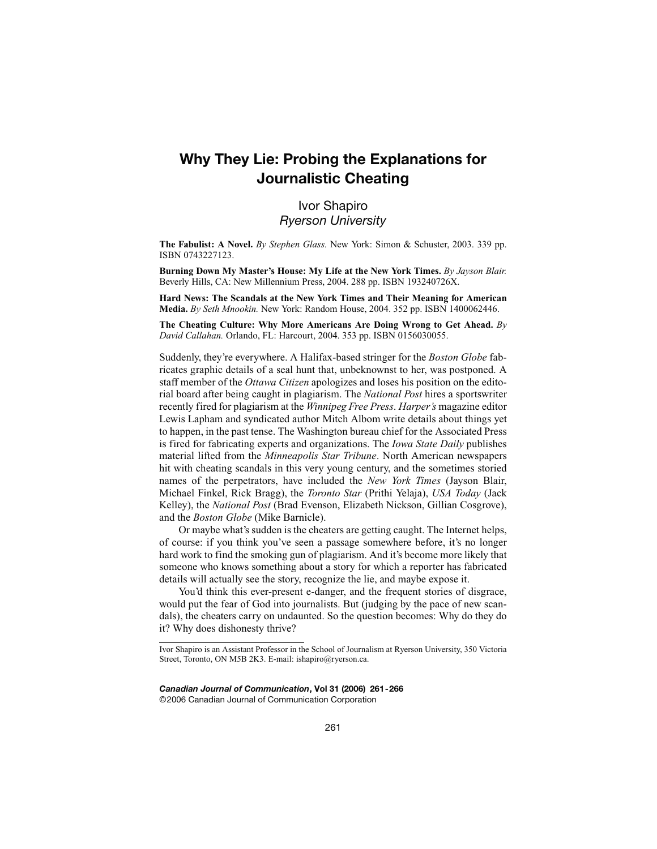## **Why They Lie: Probing the Explanations for Journalistic Cheating**

## Ivor Shapiro *Ryerson University*

**The Fabulist: A Novel.** *By Stephen Glass.* New York: Simon & Schuster, 2003. 339 pp. ISBN 0743227123.

**Burning Down My Master's House: My Life at the New York Times.** *By Jayson Blair.* Beverly Hills, CA: New Millennium Press, 2004. 288 pp. ISBN 193240726X.

**Hard News: The Scandals at the New York Times and Their Meaning for American Media.** *By Seth Mnookin.* New York: Random House, 2004. 352 pp. ISBN 1400062446.

**The Cheating Culture: Why More Americans Are Doing Wrong to Get Ahead.** *By David Callahan.* Orlando, FL: Harcourt, 2004. 353 pp. ISBN 0156030055.

Suddenly, they're everywhere. A Halifax-based stringer for the *Boston Globe* fabricates graphic details of a seal hunt that, unbeknownst to her, was postponed. A staff member of the *Ottawa Citizen* apologizes and loses his position on the editorial board after being caught in plagiarism. The *National Post* hires a sportswriter recently fired for plagiarism at the *Winnipeg Free Press*. *Harper's* magazine editor Lewis Lapham and syndicated author Mitch Albom write details about things yet to happen, in the past tense. The Washington bureau chief for the Associated Press is fired for fabricating experts and organizations. The *Iowa State Daily* publishes material lifted from the *Minneapolis Star Tribune*. North American newspapers hit with cheating scandals in this very young century, and the sometimes storied names of the perpetrators, have included the *New York Times* (Jayson Blair, Michael Finkel, Rick Bragg), the *Toronto Star* (Prithi Yelaja), *USA Today* (Jack Kelley), the *National Post* (Brad Evenson, Elizabeth Nickson, Gillian Cosgrove), and the *Boston Globe* (Mike Barnicle).

Or maybe what's sudden is the cheaters are getting caught. The Internet helps, of course: if you think you've seen a passage somewhere before, it's no longer hard work to find the smoking gun of plagiarism. And it's become more likely that someone who knows something about a story for which a reporter has fabricated details will actually see the story, recognize the lie, and maybe expose it.

You'd think this ever-present e-danger, and the frequent stories of disgrace, would put the fear of God into journalists. But (judging by the pace of new scandals), the cheaters carry on undaunted. So the question becomes: Why do they do it? Why does dishonesty thrive?

*Canadian Journal of Communication***, Vol 31 (2006) 261-266** ©2006 Canadian Journal of Communication Corporation

Ivor Shapiro is an Assistant Professor in the School of Journalism at Ryerson University, 350 Victoria Street, Toronto, ON M5B 2K3. E-mail: ishapiro@ryerson.ca.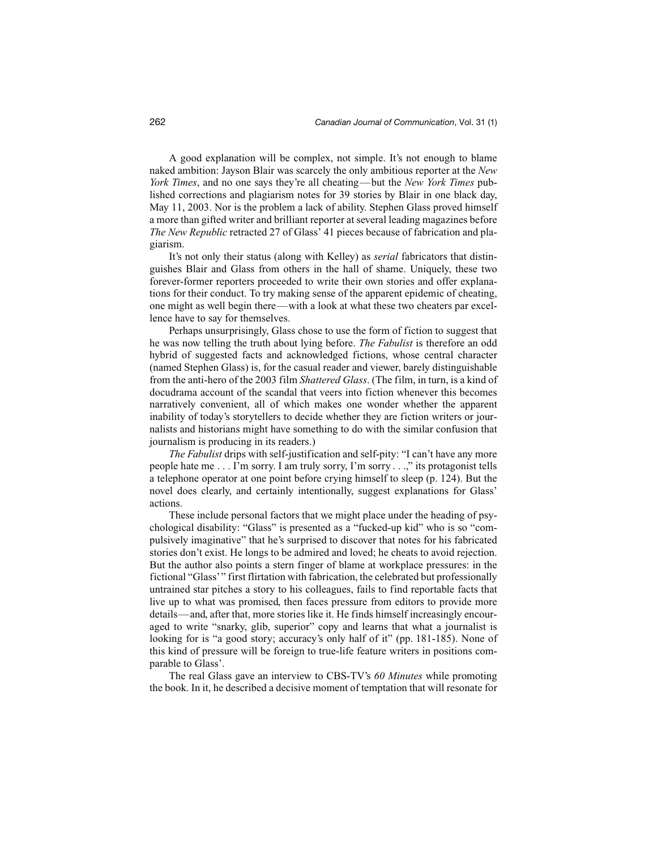A good explanation will be complex, not simple. It's not enough to blame naked ambition: Jayson Blair was scarcely the only ambitious reporter at the *New York Times*, and no one says they're all cheating—but the *New York Times* published corrections and plagiarism notes for 39 stories by Blair in one black day, May 11, 2003. Nor is the problem a lack of ability. Stephen Glass proved himself a more than gifted writer and brilliant reporter at several leading magazines before *The New Republic* retracted 27 of Glass' 41 pieces because of fabrication and plagiarism.

It's not only their status (along with Kelley) as *serial* fabricators that distinguishes Blair and Glass from others in the hall of shame. Uniquely, these two forever-former reporters proceeded to write their own stories and offer explanations for their conduct. To try making sense of the apparent epidemic of cheating, one might as well begin there—with a look at what these two cheaters par excellence have to say for themselves.

Perhaps unsurprisingly, Glass chose to use the form of fiction to suggest that he was now telling the truth about lying before. *The Fabulist* is therefore an odd hybrid of suggested facts and acknowledged fictions, whose central character (named Stephen Glass) is, for the casual reader and viewer, barely distinguishable from the anti-hero of the 2003 film *Shattered Glass*. (The film, in turn, is a kind of docudrama account of the scandal that veers into fiction whenever this becomes narratively convenient, all of which makes one wonder whether the apparent inability of today's storytellers to decide whether they are fiction writers or journalists and historians might have something to do with the similar confusion that journalism is producing in its readers.)

*The Fabulist* drips with self-justification and self-pity: "I can't have any more people hate me . . . I'm sorry. I am truly sorry, I'm sorry . . .," its protagonist tells a telephone operator at one point before crying himself to sleep (p. 124). But the novel does clearly, and certainly intentionally, suggest explanations for Glass' actions.

These include personal factors that we might place under the heading of psychological disability: "Glass" is presented as a "fucked-up kid" who is so "compulsively imaginative" that he's surprised to discover that notes for his fabricated stories don't exist. He longs to be admired and loved; he cheats to avoid rejection. But the author also points a stern finger of blame at workplace pressures: in the fictional "Glass'" first flirtation with fabrication, the celebrated but professionally untrained star pitches a story to his colleagues, fails to find reportable facts that live up to what was promised, then faces pressure from editors to provide more details—and, after that, more stories like it. He finds himself increasingly encouraged to write "snarky, glib, superior" copy and learns that what a journalist is looking for is "a good story; accuracy's only half of it" (pp. 181-185). None of this kind of pressure will be foreign to true-life feature writers in positions comparable to Glass'.

The real Glass gave an interview to CBS-TV's *60 Minutes* while promoting the book. In it, he described a decisive moment of temptation that will resonate for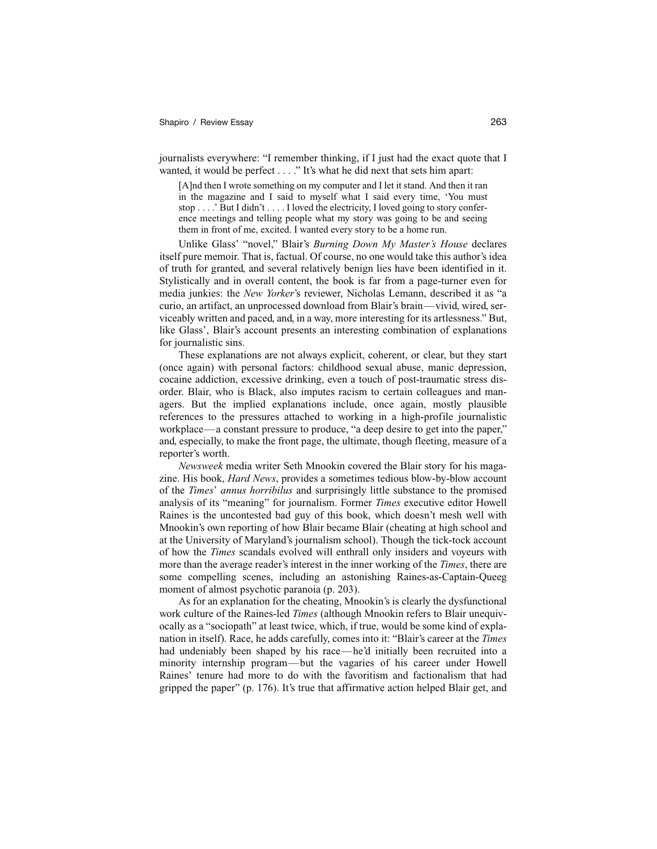journalists everywhere: "I remember thinking, if I just had the exact quote that I wanted, it would be perfect . . . ." It's what he did next that sets him apart:

[A]nd then I wrote something on my computer and I let it stand. And then it ran in the magazine and I said to myself what I said every time, 'You must stop . . . .' But I didn't . . . . I loved the electricity, I loved going to story conference meetings and telling people what my story was going to be and seeing them in front of me, excited. I wanted every story to be a home run.

Unlike Glass' "novel," Blair's *Burning Down My Master's House* declares itself pure memoir. That is, factual. Of course, no one would take this author's idea of truth for granted, and several relatively benign lies have been identified in it. Stylistically and in overall content, the book is far from a page-turner even for media junkies: the *New Yorker*'s reviewer, Nicholas Lemann, described it as "a curio, an artifact, an unprocessed download from Blair's brain—vivid, wired, serviceably written and paced, and, in a way, more interesting for its artlessness." But, like Glass', Blair's account presents an interesting combination of explanations for journalistic sins.

These explanations are not always explicit, coherent, or clear, but they start (once again) with personal factors: childhood sexual abuse, manic depression, cocaine addiction, excessive drinking, even a touch of post-traumatic stress disorder. Blair, who is Black, also imputes racism to certain colleagues and managers. But the implied explanations include, once again, mostly plausible references to the pressures attached to working in a high-profile journalistic workplace—a constant pressure to produce, "a deep desire to get into the paper," and, especially, to make the front page, the ultimate, though fleeting, measure of a reporter's worth.

*Newsweek* media writer Seth Mnookin covered the Blair story for his magazine. His book, *Hard News*, provides a sometimes tedious blow-by-blow account of the *Times*' *annus horribilus* and surprisingly little substance to the promised analysis of its "meaning" for journalism. Former *Times* executive editor Howell Raines is the uncontested bad guy of this book, which doesn't mesh well with Mnookin's own reporting of how Blair became Blair (cheating at high school and at the University of Maryland's journalism school). Though the tick-tock account of how the *Times* scandals evolved will enthrall only insiders and voyeurs with more than the average reader's interest in the inner working of the *Times*, there are some compelling scenes, including an astonishing Raines-as-Captain-Queeg moment of almost psychotic paranoia (p. 203).

As for an explanation for the cheating, Mnookin's is clearly the dysfunctional work culture of the Raines-led *Times* (although Mnookin refers to Blair unequivocally as a "sociopath" at least twice, which, if true, would be some kind of explanation in itself). Race, he adds carefully, comes into it: "Blair's career at the *Times* had undeniably been shaped by his race—he'd initially been recruited into a minority internship program—but the vagaries of his career under Howell Raines' tenure had more to do with the favoritism and factionalism that had gripped the paper" (p. 176). It's true that affirmative action helped Blair get, and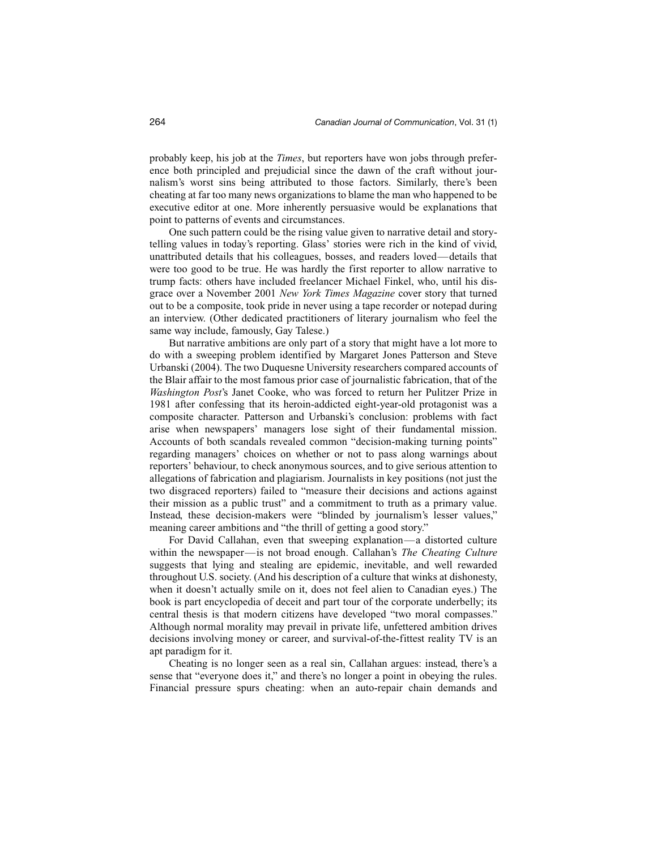probably keep, his job at the *Times*, but reporters have won jobs through preference both principled and prejudicial since the dawn of the craft without journalism's worst sins being attributed to those factors. Similarly, there's been cheating at far too many news organizations to blame the man who happened to be executive editor at one. More inherently persuasive would be explanations that point to patterns of events and circumstances.

One such pattern could be the rising value given to narrative detail and storytelling values in today's reporting. Glass' stories were rich in the kind of vivid, unattributed details that his colleagues, bosses, and readers loved—details that were too good to be true. He was hardly the first reporter to allow narrative to trump facts: others have included freelancer Michael Finkel, who, until his disgrace over a November 2001 *New York Times Magazine* cover story that turned out to be a composite, took pride in never using a tape recorder or notepad during an interview. (Other dedicated practitioners of literary journalism who feel the same way include, famously, Gay Talese.)

But narrative ambitions are only part of a story that might have a lot more to do with a sweeping problem identified by Margaret Jones Patterson and Steve Urbanski (2004). The two Duquesne University researchers compared accounts of the Blair affair to the most famous prior case of journalistic fabrication, that of the *Washington Post*'s Janet Cooke, who was forced to return her Pulitzer Prize in 1981 after confessing that its heroin-addicted eight-year-old protagonist was a composite character. Patterson and Urbanski's conclusion: problems with fact arise when newspapers' managers lose sight of their fundamental mission. Accounts of both scandals revealed common "decision-making turning points" regarding managers' choices on whether or not to pass along warnings about reporters' behaviour, to check anonymous sources, and to give serious attention to allegations of fabrication and plagiarism. Journalists in key positions (not just the two disgraced reporters) failed to "measure their decisions and actions against their mission as a public trust" and a commitment to truth as a primary value. Instead, these decision-makers were "blinded by journalism's lesser values," meaning career ambitions and "the thrill of getting a good story."

For David Callahan, even that sweeping explanation—a distorted culture within the newspaper—is not broad enough. Callahan's *The Cheating Culture* suggests that lying and stealing are epidemic, inevitable, and well rewarded throughout U.S. society. (And his description of a culture that winks at dishonesty, when it doesn't actually smile on it, does not feel alien to Canadian eyes.) The book is part encyclopedia of deceit and part tour of the corporate underbelly; its central thesis is that modern citizens have developed "two moral compasses." Although normal morality may prevail in private life, unfettered ambition drives decisions involving money or career, and survival-of-the-fittest reality TV is an apt paradigm for it.

Cheating is no longer seen as a real sin, Callahan argues: instead, there's a sense that "everyone does it," and there's no longer a point in obeying the rules. Financial pressure spurs cheating: when an auto-repair chain demands and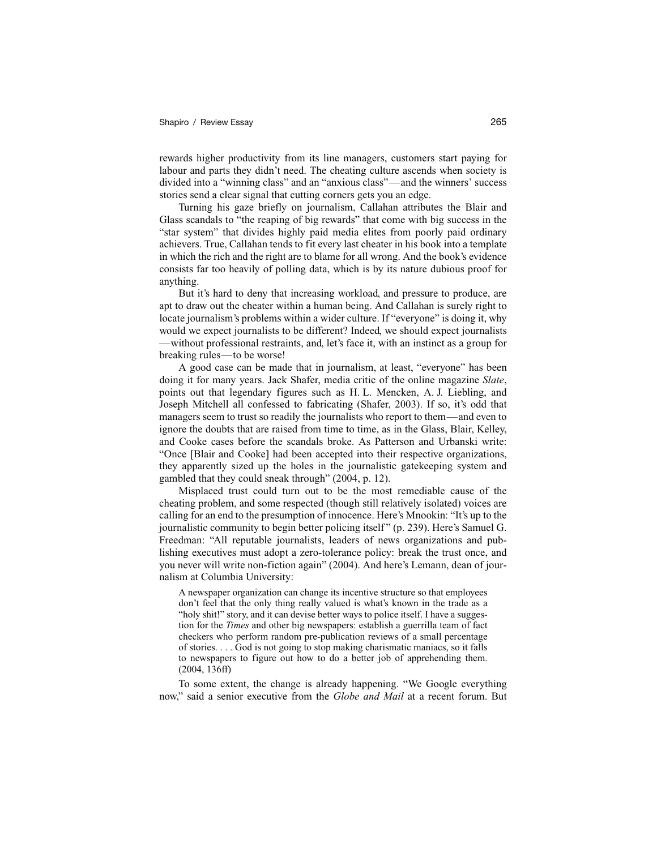## Shapiro / Review Essay 265

rewards higher productivity from its line managers, customers start paying for labour and parts they didn't need. The cheating culture ascends when society is divided into a "winning class" and an "anxious class"—and the winners' success stories send a clear signal that cutting corners gets you an edge.

Turning his gaze briefly on journalism, Callahan attributes the Blair and Glass scandals to "the reaping of big rewards" that come with big success in the "star system" that divides highly paid media elites from poorly paid ordinary achievers. True, Callahan tends to fit every last cheater in his book into a template in which the rich and the right are to blame for all wrong. And the book's evidence consists far too heavily of polling data, which is by its nature dubious proof for anything.

But it's hard to deny that increasing workload, and pressure to produce, are apt to draw out the cheater within a human being. And Callahan is surely right to locate journalism's problems within a wider culture. If "everyone" is doing it, why would we expect journalists to be different? Indeed, we should expect journalists —without professional restraints, and, let's face it, with an instinct as a group for breaking rules—to be worse!

A good case can be made that in journalism, at least, "everyone" has been doing it for many years. Jack Shafer, media critic of the online magazine *Slate*, points out that legendary figures such as H. L. Mencken, A. J. Liebling, and Joseph Mitchell all confessed to fabricating (Shafer, 2003). If so, it's odd that managers seem to trust so readily the journalists who report to them—and even to ignore the doubts that are raised from time to time, as in the Glass, Blair, Kelley, and Cooke cases before the scandals broke. As Patterson and Urbanski write: "Once [Blair and Cooke] had been accepted into their respective organizations, they apparently sized up the holes in the journalistic gatekeeping system and gambled that they could sneak through" (2004, p. 12).

Misplaced trust could turn out to be the most remediable cause of the cheating problem, and some respected (though still relatively isolated) voices are calling for an end to the presumption of innocence. Here's Mnookin: "It's up to the journalistic community to begin better policing itself " (p. 239). Here's Samuel G. Freedman: "All reputable journalists, leaders of news organizations and publishing executives must adopt a zero-tolerance policy: break the trust once, and you never will write non-fiction again" (2004). And here's Lemann, dean of journalism at Columbia University:

A newspaper organization can change its incentive structure so that employees don't feel that the only thing really valued is what's known in the trade as a "holy shit!" story, and it can devise better ways to police itself. I have a suggestion for the *Times* and other big newspapers: establish a guerrilla team of fact checkers who perform random pre-publication reviews of a small percentage of stories. . . . God is not going to stop making charismatic maniacs, so it falls to newspapers to figure out how to do a better job of apprehending them. (2004, 136ff)

To some extent, the change is already happening. "We Google everything now," said a senior executive from the *Globe and Mail* at a recent forum. But